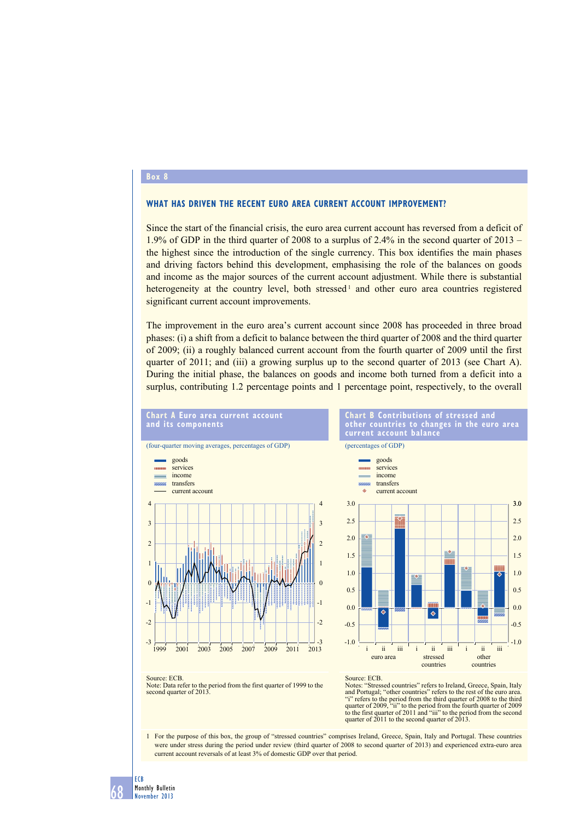## **box 8**

## **what has driven the reCent euro area Current aCCount imProvement?**

Since the start of the financial crisis, the euro area current account has reversed from a deficit of 1.9% of GDP in the third quarter of 2008 to a surplus of 2.4% in the second quarter of 2013 – the highest since the introduction of the single currency. This box identifies the main phases and driving factors behind this development, emphasising the role of the balances on goods and income as the major sources of the current account adjustment. While there is substantial heterogeneity at the country level, both stressed<sup>1</sup> and other euro area countries registered significant current account improvements.

The improvement in the euro area's current account since 2008 has proceeded in three broad phases: (i) a shift from a deficit to balance between the third quarter of 2008 and the third quarter of 2009; (ii) a roughly balanced current account from the fourth quarter of 2009 until the first quarter of 2011; and (iii) a growing surplus up to the second quarter of 2013 (see Chart A). During the initial phase, the balances on goods and income both turned from a deficit into a surplus, contributing 1.2 percentage points and 1 percentage point, respectively, to the overall







Notes: "Stressed countries" refers to Ireland, Greece, Spain, Italy and Portugal; "other countries" refers to the rest of the euro area. "i" refers to the period from the third quarter of 2008 to the third quarter of 2009, "ii" to the period from the fourth quarter of 2009 to the first quarter of 2011 and "iii" to the period from the second quarter of 2011 to the second quarter of 2013.

1 For the purpose of this box, the group of "stressed countries" comprises Ireland, Greece, Spain, Italy and Portugal. These countries were under stress during the period under review (third quarter of 2008 to second quarter of 2013) and experienced extra-euro area current account reversals of at least 3% of domestic GDP over that period.

ECB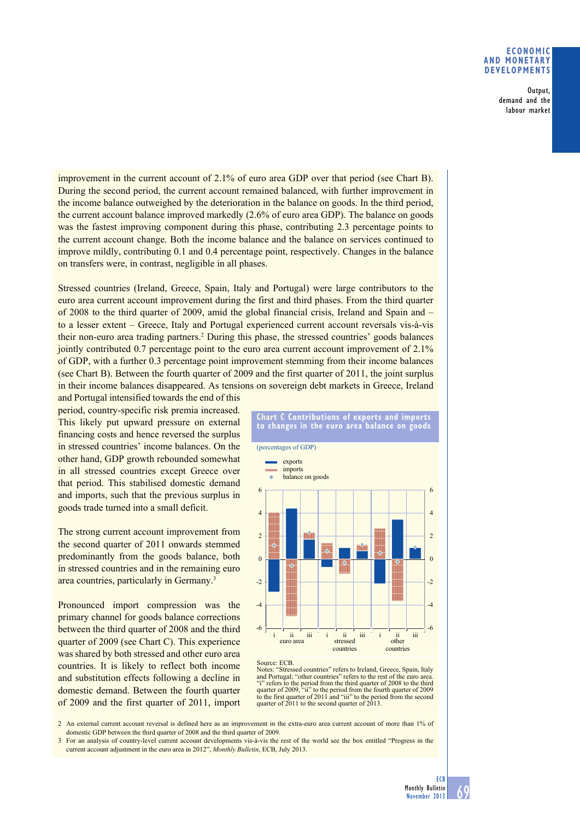## **eConomiC and monetary develoPments**

 Output, demand and the labour market

improvement in the current account of 2.1% of euro area GDP over that period (see Chart B). During the second period, the current account remained balanced, with further improvement in the income balance outweighed by the deterioration in the balance on goods. In the third period, the current account balance improved markedly  $(2.6\%$  of euro area GDP). The balance on goods was the fastest improving component during this phase, contributing 2.3 percentage points to the current account change. Both the income balance and the balance on services continued to improve mildly, contributing  $0.1$  and  $0.4$  percentage point, respectively. Changes in the balance on transfers were, in contrast, negligible in all phases.

Stressed countries (Ireland, Greece, Spain, Italy and Portugal) were large contributors to the euro area current account improvement during the first and third phases. From the third quarter of 2008 to the third quarter of 2009, amid the global financial crisis, Ireland and Spain and  $$ to a lesser extent – Greece, Italy and Portugal experienced current account reversals vis-à-vis their non-euro area trading partners.<sup>2</sup> During this phase, the stressed countries' goods balances jointly contributed  $0.7$  percentage point to the euro area current account improvement of  $2.1\%$ of GDP, with a further 0.3 percentage point improvement stemming from their income balances (see Chart B). Between the fourth quarter of 2009 and the first quarter of 2011, the joint surplus in their income balances disappeared. As tensions on sovereign debt markets in Greece, Ireland

and Portugal intensified towards the end of this period, country-specific risk premia increased. This likely put upward pressure on external financing costs and hence reversed the surplus in stressed countries' income balances. On the other hand, GDP growth rebounded somewhat in all stressed countries except Greece over that period. This stabilised domestic demand and imports, such that the previous surplus in goods trade turned into a small deficit.

The strong current account improvement from the second quarter of 2011 onwards stemmed predominantly from the goods balance, both in stressed countries and in the remaining euro area countries, particularly in Germany.<sup>3</sup>

Pronounced import compression was the primary channel for goods balance corrections between the third quarter of 2008 and the third quarter of 2009 (see Chart C). This experience was shared by both stressed and other euro area countries. It is likely to reflect both income and substitution effects following a decline in domestic demand. Between the fourth quarter of 2009 and the first quarter of 2011, import





## Source: ECB.

Notes: "Stressed countries" refers to Ireland, Greece, Spain, Italy and Portugal; "other countries" refers to the rest of the euro area. "i" refers to the period from the third quarter of 2008 to the third quarter of 2009, "ii" to the period from the fourth quarter of 2009 to the first quarter of 2011 and "iii" to the period from the second quarter of 2011 to the second quarter of 2013.

2 An external current account reversal is defined here as an improvement in the extra-euro area current account of more than 1% of domestic GDP between the third quarter of 2008 and the third quarter of 2009.

3 For an analysis of country-level current account developments vis-à-vis the rest of the world see the box entitled "Progress in the current account adjustment in the euro area in 2012", *Monthly Bulletin*, ECB, July 2013.